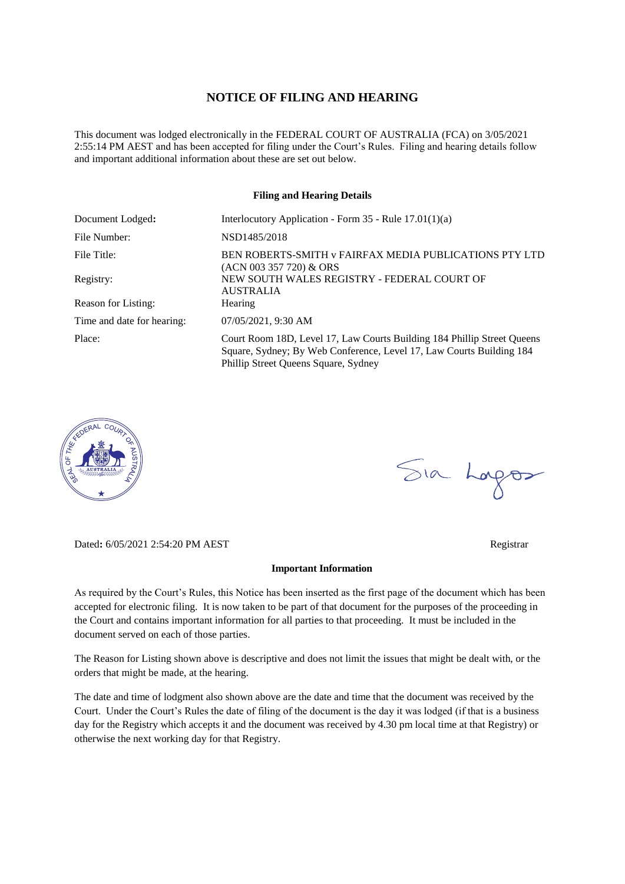### **NOTICE OF FILING AND HEARING**

This document was lodged electronically in the FEDERAL COURT OF AUSTRALIA (FCA) on 3/05/2021 2:55:14 PM AEST and has been accepted for filing under the Court's Rules. Filing and hearing details follow and important additional information about these are set out below.

### **Filing and Hearing Details**

| Document Lodged:           | Interlocutory Application - Form $35$ - Rule $17.01(1)(a)$                                                                                                                              |
|----------------------------|-----------------------------------------------------------------------------------------------------------------------------------------------------------------------------------------|
| File Number:               | NSD1485/2018                                                                                                                                                                            |
| File Title:                | BEN ROBERTS-SMITH v FAIRFAX MEDIA PUBLICATIONS PTY LTD<br>$(ACN 003 357 720)$ & ORS                                                                                                     |
| Registry:                  | NEW SOUTH WALES REGISTRY - FEDERAL COURT OF<br><b>AUSTRALIA</b>                                                                                                                         |
| Reason for Listing:        | <b>Hearing</b>                                                                                                                                                                          |
| Time and date for hearing: | 07/05/2021, 9:30 AM                                                                                                                                                                     |
| Place:                     | Court Room 18D, Level 17, Law Courts Building 184 Phillip Street Queens<br>Square, Sydney; By Web Conference, Level 17, Law Courts Building 184<br>Phillip Street Queens Square, Sydney |



Dated**:** 6/05/2021 2:54:20 PM AEST Registrar

#### **Important Information**

As required by the Court's Rules, this Notice has been inserted as the first page of the document which has been accepted for electronic filing. It is now taken to be part of that document for the purposes of the proceeding in the Court and contains important information for all parties to that proceeding. It must be included in the document served on each of those parties.

The Reason for Listing shown above is descriptive and does not limit the issues that might be dealt with, or the orders that might be made, at the hearing.

The date and time of lodgment also shown above are the date and time that the document was received by the Court. Under the Court's Rules the date of filing of the document is the day it was lodged (if that is a business day for the Registry which accepts it and the document was received by 4.30 pm local time at that Registry) or otherwise the next working day for that Registry.

Sia Logos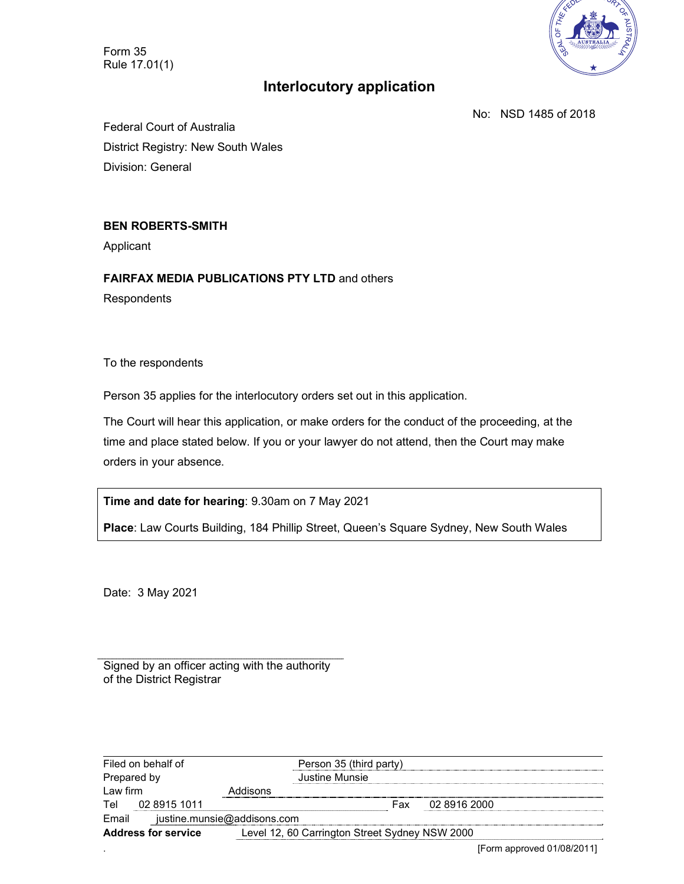Form 35 Rule 17.01(1)



# **Interlocutory application**

No: NSD 1485 of 2018

Federal Court of Australia District Registry: New South Wales Division: General

## **BEN ROBERTS-SMITH**

Applicant

**FAIRFAX MEDIA PUBLICATIONS PTY LTD** and others **Respondents** 

To the respondents

Person 35 applies for the interlocutory orders set out in this application.

The Court will hear this application, or make orders for the conduct of the proceeding, at the time and place stated below. If you or your lawyer do not attend, then the Court may make orders in your absence.

**Time and date for hearing**: 9.30am on 7 May 2021

**Place**: Law Courts Building, 184 Phillip Street, Queen's Square Sydney, New South Wales

Date: 3 May 2021

Signed by an officer acting with the authority of the District Registrar

|                            | Filed on behalf of |                                                | Person 35 (third party) |              |               |
|----------------------------|--------------------|------------------------------------------------|-------------------------|--------------|---------------|
| Prepared by                |                    |                                                | Justine Munsie          |              |               |
| Law firm                   |                    | Addisons                                       |                         |              |               |
| Tel                        | 02 8915 1011       |                                                | Fax                     | 02 8916 2000 |               |
| Email                      |                    | justine.munsie@addisons.com                    |                         |              |               |
| <b>Address for service</b> |                    | Level 12, 60 Carrington Street Sydney NSW 2000 |                         |              |               |
|                            |                    |                                                |                         | $-$          | 1.01100100111 |